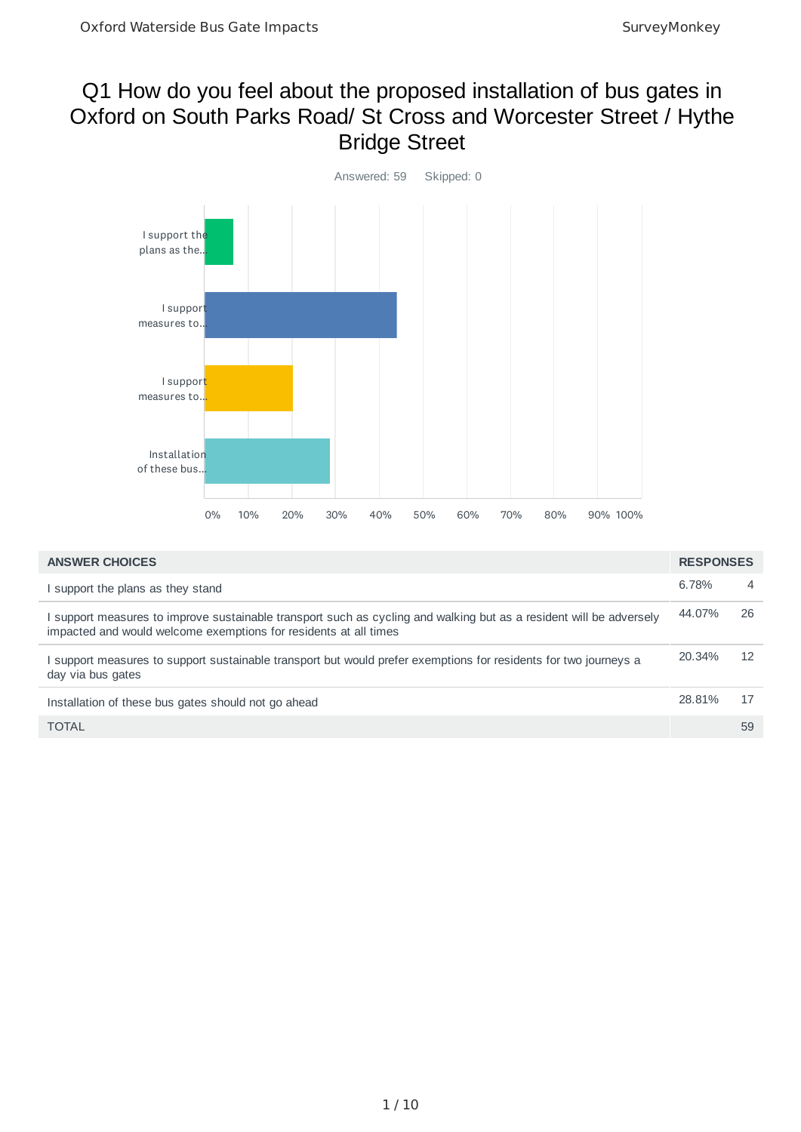#### Q1 How do you feel about the proposed installation of bus gates in Oxford on South Parks Road/ St Cross and Worcester Street / Hythe Bridge Street



| <b>ANSWER CHOICES</b>                                                                                                                                                                   | <b>RESPONSES</b> |                |
|-----------------------------------------------------------------------------------------------------------------------------------------------------------------------------------------|------------------|----------------|
| I support the plans as they stand                                                                                                                                                       | 6.78%            | $\overline{4}$ |
| I support measures to improve sustainable transport such as cycling and walking but as a resident will be adversely<br>impacted and would welcome exemptions for residents at all times | 44.07%           | 26             |
| I support measures to support sustainable transport but would prefer exemptions for residents for two journeys a<br>day via bus gates                                                   | 20.34%           | 12             |
| Installation of these bus gates should not go ahead                                                                                                                                     | 28.81%           | 17             |
| <b>TOTAL</b>                                                                                                                                                                            |                  | 59             |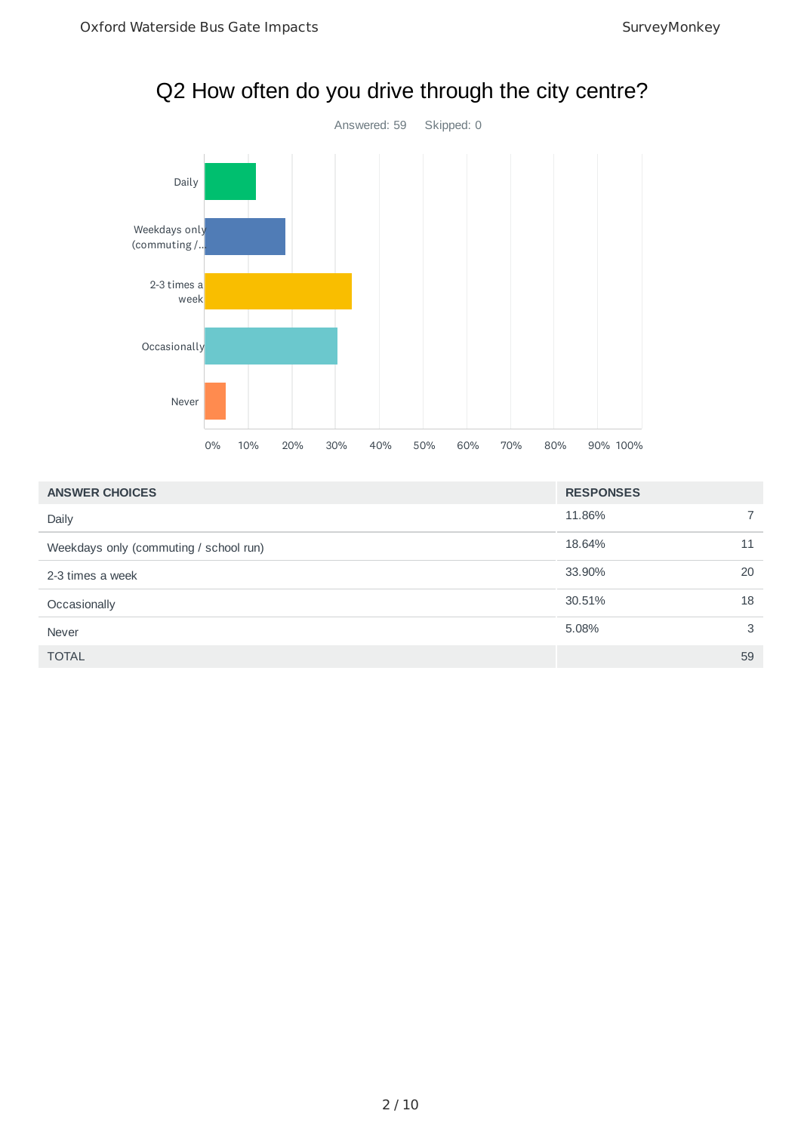

11.86% 7 18.64% 11 33.90% 20 30.51% 18 5.08% 3 TOTAL 59 **ANSWER CHOICES RESPONSES** Daily Weekdays only (commuting / school run) 2-3 times a week Occasionally Never

## Q2 How often do you drive through the city centre?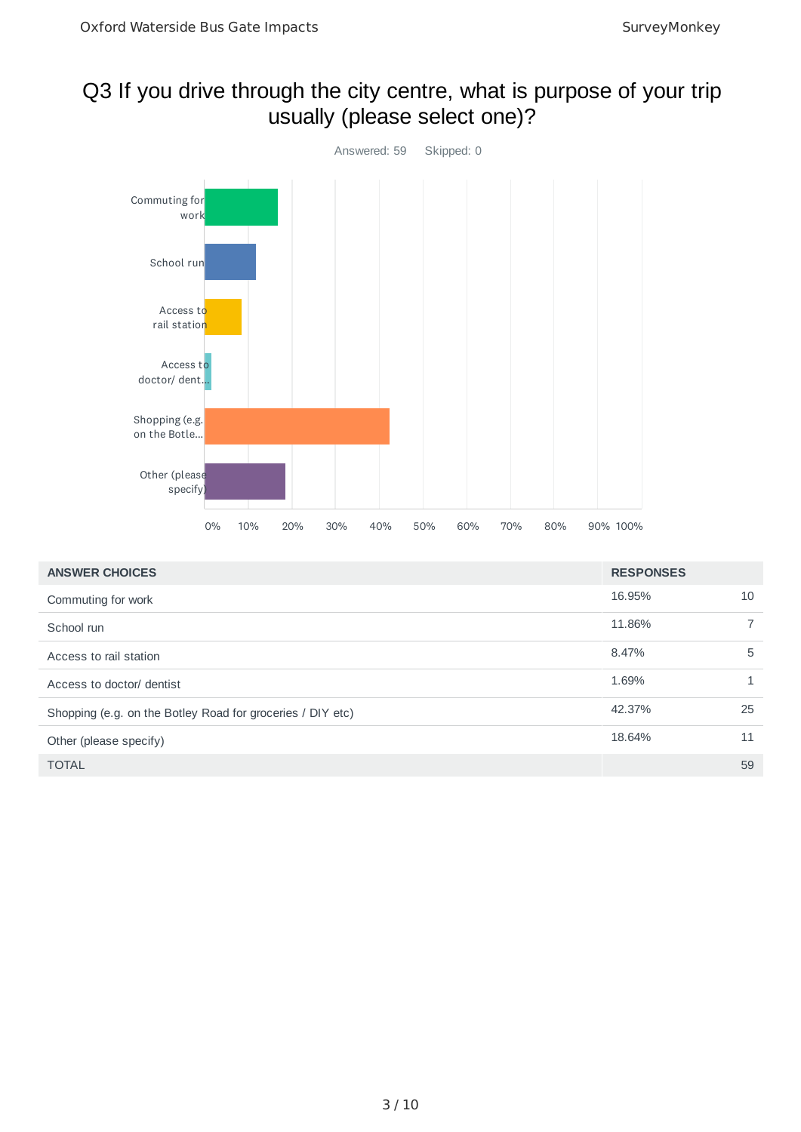## Q3 If you drive through the city centre, what is purpose of your trip usually (please select one)?



| <b>ANSWER CHOICES</b>                                      | <b>RESPONSES</b> |    |
|------------------------------------------------------------|------------------|----|
| Commuting for work                                         | 16.95%           | 10 |
| School run                                                 | 11.86%           | 7  |
| Access to rail station                                     | 8.47%            | 5  |
| Access to doctor/ dentist                                  | 1.69%            |    |
| Shopping (e.g. on the Botley Road for groceries / DIY etc) | 42.37%           | 25 |
| Other (please specify)                                     | 18.64%           | 11 |
| <b>TOTAL</b>                                               |                  | 59 |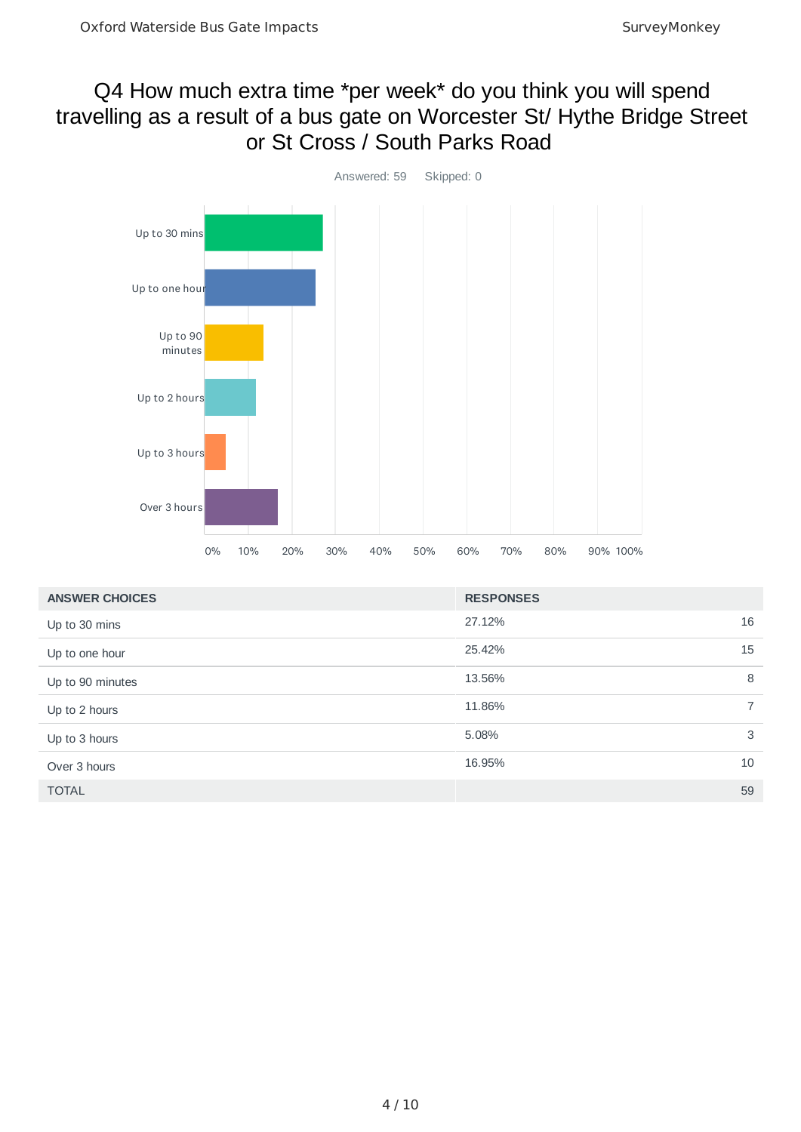#### Q4 How much extra time \*per week\* do you think you will spend travelling as a result of a bus gate on Worcester St/ Hythe Bridge Street or St Cross / South Parks Road



| <b>ANSWER CHOICES</b> | <b>RESPONSES</b> |
|-----------------------|------------------|
| Up to 30 mins         | 16<br>27.12%     |
| Up to one hour        | 25.42%<br>15     |
| Up to 90 minutes      | 13.56%<br>8      |
| Up to 2 hours         | 11.86%<br>7      |
| Up to 3 hours         | 3<br>5.08%       |
| Over 3 hours          | 16.95%<br>10     |
| <b>TOTAL</b>          | 59               |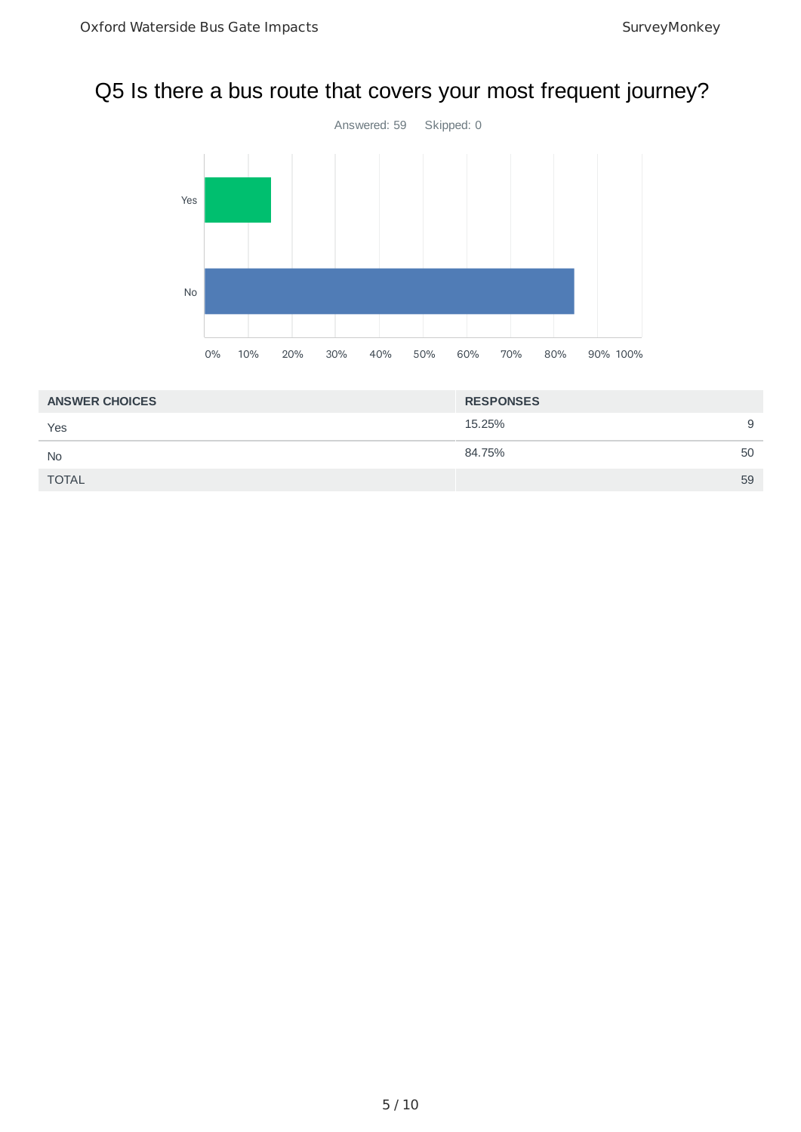# Q5 Is there a bus route that covers your most frequent journey?



| <b>ANSWER CHOICES</b> | <b>RESPONSES</b> |    |
|-----------------------|------------------|----|
| Yes                   | 15.25%           | 9  |
| <b>No</b>             | 84.75%           | 50 |
| <b>TOTAL</b>          |                  | 59 |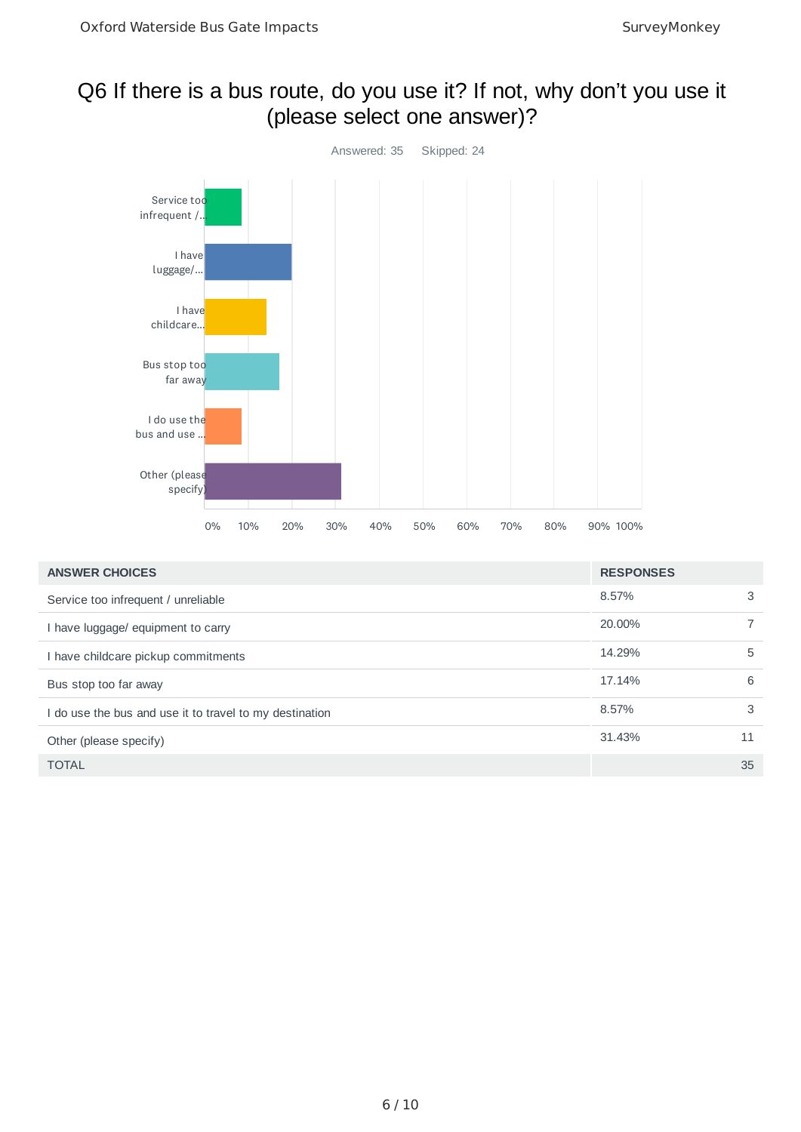## Q6 If there is a bus route, do you use it? If not, why don't you use it (please select one answer)?



| <b>ANSWER CHOICES</b>                                   | <b>RESPONSES</b> |    |
|---------------------------------------------------------|------------------|----|
| Service too infrequent / unreliable                     | 8.57%            | 3  |
| I have luggage/ equipment to carry                      | 20,00%           |    |
| I have childcare pickup commitments                     | 14.29%           | 5  |
| Bus stop too far away                                   | 17.14%           | 6  |
| I do use the bus and use it to travel to my destination | 8.57%            | 3  |
| Other (please specify)                                  | 31.43%           | 11 |
| <b>TOTAL</b>                                            |                  | 35 |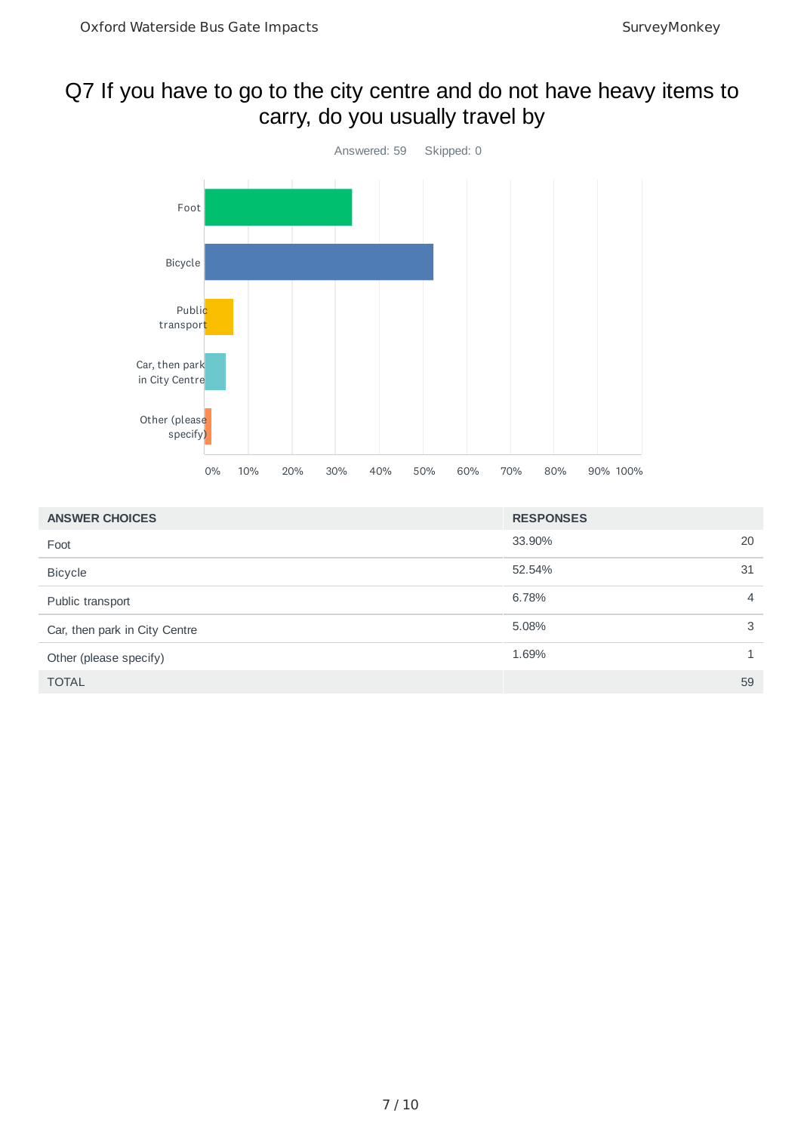#### Q7 If you have to go to the city centre and do not have heavy items to carry, do you usually travel by



| <b>ANSWER CHOICES</b>         | <b>RESPONSES</b> |                |
|-------------------------------|------------------|----------------|
| Foot                          | 33.90%           | 20             |
| <b>Bicycle</b>                | 52.54%           | 31             |
| Public transport              | 6.78%            | $\overline{4}$ |
| Car, then park in City Centre | 5.08%            | 3              |
| Other (please specify)        | 1.69%            | $\mathbf{1}$   |
| <b>TOTAL</b>                  |                  | 59             |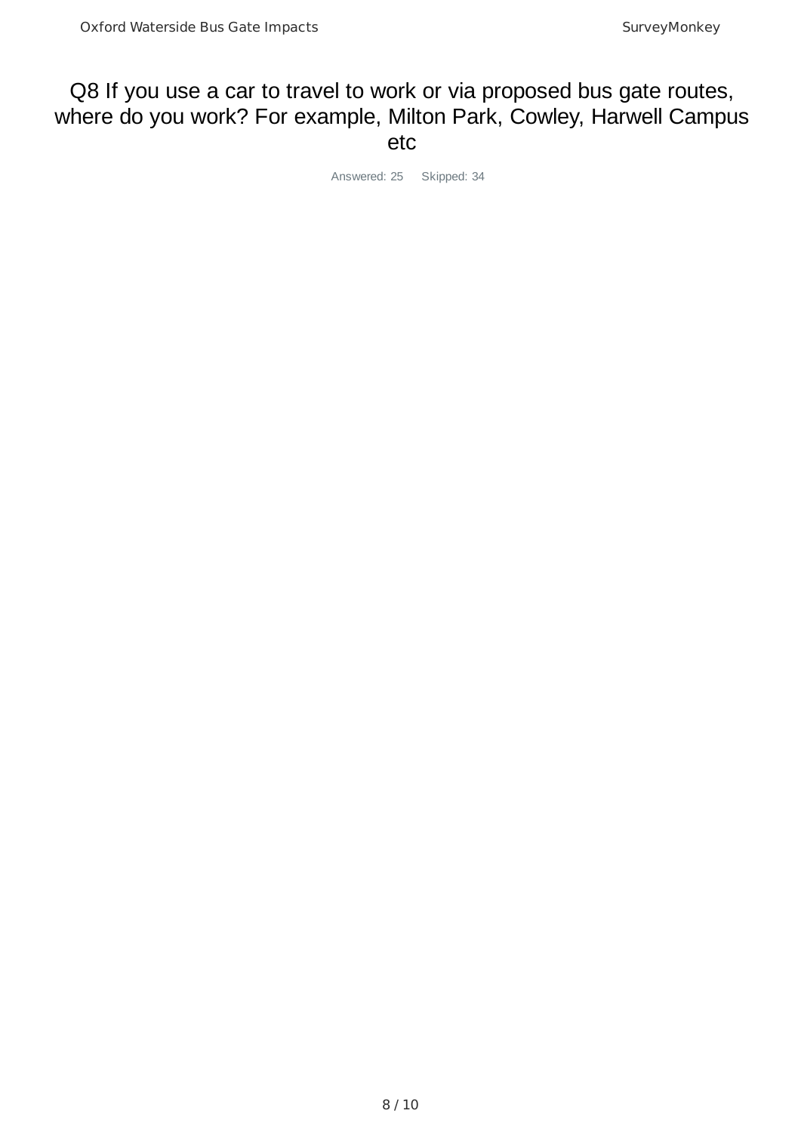#### Q8 If you use a car to travel to work or via proposed bus gate routes, where do you work? For example, Milton Park, Cowley, Harwell Campus etc

Answered: 25 Skipped: 34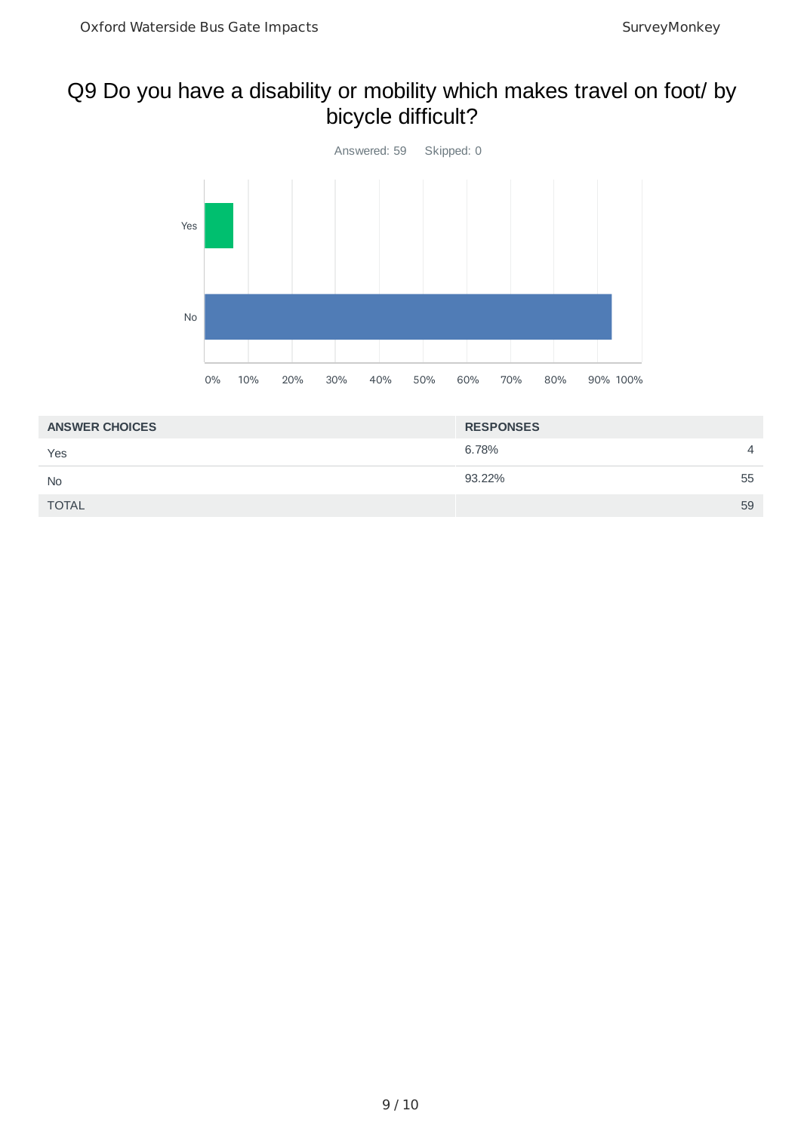## Q9 Do you have a disability or mobility which makes travel on foot/ by bicycle difficult?



| <b>ANSWER CHOICES</b> | <b>RESPONSES</b> |
|-----------------------|------------------|
| Yes                   | 6.78%<br>4       |
| <b>No</b>             | 93.22%<br>55     |
| <b>TOTAL</b>          | 59               |